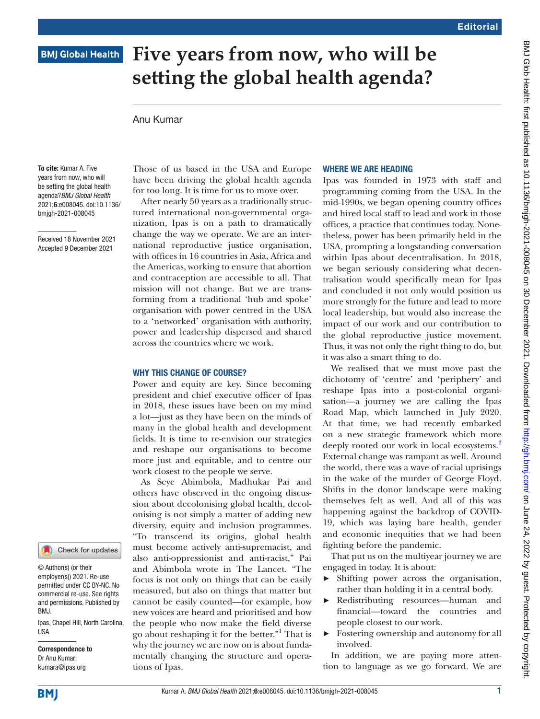# **BMJ Global Health**

# **Five years from now, who will be setting the global health agenda?**

## Anu Kumar

To cite: Kumar A. Five years from now, who will be setting the global health agenda?*BMJ Global Health* 2021;6:e008045. doi:10.1136/ bmjgh-2021-008045

Received 18 November 2021 Accepted 9 December 2021

Those of us based in the USA and Europe have been driving the global health agenda for too long. It is time for us to move over.

After nearly 50 years as a traditionally structured international non-governmental organization, Ipas is on a path to dramatically change the way we operate. We are an international reproductive justice organisation, with offices in 16 countries in Asia, Africa and the Americas, working to ensure that abortion and contraception are accessible to all. That mission will not change. But we are transforming from a traditional 'hub and spoke' organisation with power centred in the USA to a 'networked' organisation with authority, power and leadership dispersed and shared across the countries where we work.

#### WHY THIS CHANGE OF COURSE?

Power and equity are key. Since becoming president and chief executive officer of Ipas in 2018, these issues have been on my mind a lot—just as they have been on the minds of many in the global health and development fields. It is time to re-envision our strategies and reshape our organisations to become more just and equitable, and to centre our work closest to the people we serve.

As Seye Abimbola, Madhukar Pai and others have observed in the ongoing discussion about decolonising global health, decolonising is not simply a matter of adding new diversity, equity and inclusion programmes. "To transcend its origins, global health must become actively anti-supremacist, and also anti-oppressionist and anti-racist," Pai and Abimbola wrote in The Lancet. "The focus is not only on things that can be easily measured, but also on things that matter but cannot be easily counted—for example, how new voices are heard and prioritised and how the people who now make the field diverse go about reshaping it for the better."<sup>1</sup> That is why the journey we are now on is about fundamentally changing the structure and operations of Ipas.

## WHERE WE ARE HEADING

Ipas was founded in 1973 with staff and programming coming from the USA. In the mid-1990s, we began opening country offices and hired local staff to lead and work in those offices, a practice that continues today. Nonetheless, power has been primarily held in the USA, prompting a longstanding conversation within Ipas about decentralisation. In 2018, we began seriously considering what decentralisation would specifically mean for Ipas and concluded it not only would position us more strongly for the future and lead to more local leadership, but would also increase the impact of our work and our contribution to the global reproductive justice movement. Thus, it was not only the right thing to do, but it was also a smart thing to do.

We realised that we must move past the dichotomy of 'centre' and 'periphery' and reshape Ipas into a post-colonial organisation—a journey we are calling the Ipas Road Map, which launched in July 2020. At that time, we had recently embarked on a new strategic framework which more deeply rooted our work in local ecosystems.<sup>[2](#page-2-1)</sup> External change was rampant as well. Around the world, there was a wave of racial uprisings in the wake of the murder of George Floyd. Shifts in the donor landscape were making themselves felt as well. And all of this was happening against the backdrop of COVID-19, which was laying bare health, gender and economic inequities that we had been fighting before the pandemic.

That put us on the multiyear journey we are engaged in today. It is about:

- ► Shifting power across the organisation, rather than holding it in a central body.
- ► Redistributing resources—human and financial—toward the countries and people closest to our work.
- ► Fostering ownership and autonomy for all involved.

In addition, we are paying more attention to language as we go forward. We are

**IISA** 

BMJ.

Ipas, Chapel Hill, North Carolina,

Check for updates

Correspondence to Dr Anu Kumar; kumara@ipas.org

© Author(s) (or their employer(s)) 2021. Re-use permitted under CC BY-NC. No commercial re-use. See rights and permissions. Published by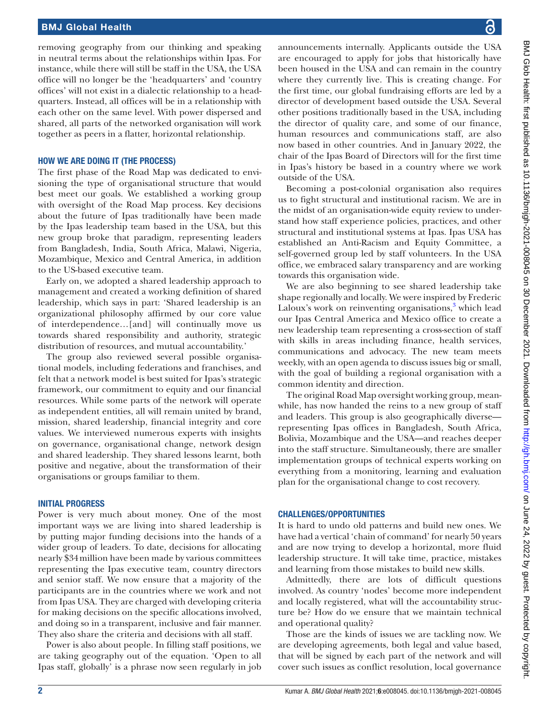# BMJ Global Health

removing geography from our thinking and speaking in neutral terms about the relationships within Ipas. For instance, while there will still be staff in the USA, the USA office will no longer be the 'headquarters' and 'country offices' will not exist in a dialectic relationship to a headquarters. Instead, all offices will be in a relationship with each other on the same level. With power dispersed and shared, all parts of the networked organisation will work together as peers in a flatter, horizontal relationship.

#### HOW WE ARE DOING IT (THE PROCESS)

The first phase of the Road Map was dedicated to envisioning the type of organisational structure that would best meet our goals. We established a working group with oversight of the Road Map process. Key decisions about the future of Ipas traditionally have been made by the Ipas leadership team based in the USA, but this new group broke that paradigm, representing leaders from Bangladesh, India, South Africa, Malawi, Nigeria, Mozambique, Mexico and Central America, in addition to the US-based executive team.

Early on, we adopted a shared leadership approach to management and created a working definition of shared leadership, which says in part: 'Shared leadership is an organizational philosophy affirmed by our core value of interdependence…[and] will continually move us towards shared responsibility and authority, strategic distribution of resources, and mutual accountability.'

The group also reviewed several possible organisational models, including federations and franchises, and felt that a network model is best suited for Ipas's strategic framework, our commitment to equity and our financial resources. While some parts of the network will operate as independent entities, all will remain united by brand, mission, shared leadership, financial integrity and core values. We interviewed numerous experts with insights on governance, organisational change, network design and shared leadership. They shared lessons learnt, both positive and negative, about the transformation of their organisations or groups familiar to them.

#### INITIAL PROGRESS

Power is very much about money. One of the most important ways we are living into shared leadership is by putting major funding decisions into the hands of a wider group of leaders. To date, decisions for allocating nearly \$34million have been made by various committees representing the Ipas executive team, country directors and senior staff. We now ensure that a majority of the participants are in the countries where we work and not from Ipas USA. They are charged with developing criteria for making decisions on the specific allocations involved, and doing so in a transparent, inclusive and fair manner. They also share the criteria and decisions with all staff.

Power is also about people. In filling staff positions, we are taking geography out of the equation. 'Open to all Ipas staff, globally' is a phrase now seen regularly in job

announcements internally. Applicants outside the USA are encouraged to apply for jobs that historically have been housed in the USA and can remain in the country where they currently live. This is creating change. For the first time, our global fundraising efforts are led by a director of development based outside the USA. Several other positions traditionally based in the USA, including the director of quality care, and some of our finance, human resources and communications staff, are also now based in other countries. And in January 2022, the chair of the Ipas Board of Directors will for the first time in Ipas's history be based in a country where we work outside of the USA.

Becoming a post-colonial organisation also requires us to fight structural and institutional racism. We are in the midst of an organisation-wide equity review to understand how staff experience policies, practices, and other structural and institutional systems at Ipas. Ipas USA has established an Anti-Racism and Equity Committee, a self-governed group led by staff volunteers. In the USA office, we embraced salary transparency and are working towards this organisation wide.

We are also beginning to see shared leadership take shape regionally and locally. We were inspired by Frederic Laloux's work on reinventing organisations,<sup>[3](#page-2-2)</sup> which lead our Ipas Central America and Mexico office to create a new leadership team representing a cross-section of staff with skills in areas including finance, health services, communications and advocacy. The new team meets weekly, with an open agenda to discuss issues big or small, with the goal of building a regional organisation with a common identity and direction.

The original Road Map oversight working group, meanwhile, has now handed the reins to a new group of staff and leaders. This group is also geographically diverse representing Ipas offices in Bangladesh, South Africa, Bolivia, Mozambique and the USA—and reaches deeper into the staff structure. Simultaneously, there are smaller implementation groups of technical experts working on everything from a monitoring, learning and evaluation plan for the organisational change to cost recovery.

## CHALLENGES/OPPORTUNITIES

It is hard to undo old patterns and build new ones. We have had a vertical 'chain of command' for nearly 50 years and are now trying to develop a horizontal, more fluid leadership structure. It will take time, practice, mistakes and learning from those mistakes to build new skills.

Admittedly, there are lots of difficult questions involved. As country 'nodes' become more independent and locally registered, what will the accountability structure be? How do we ensure that we maintain technical and operational quality?

Those are the kinds of issues we are tackling now. We are developing agreements, both legal and value based, that will be signed by each part of the network and will cover such issues as conflict resolution, local governance